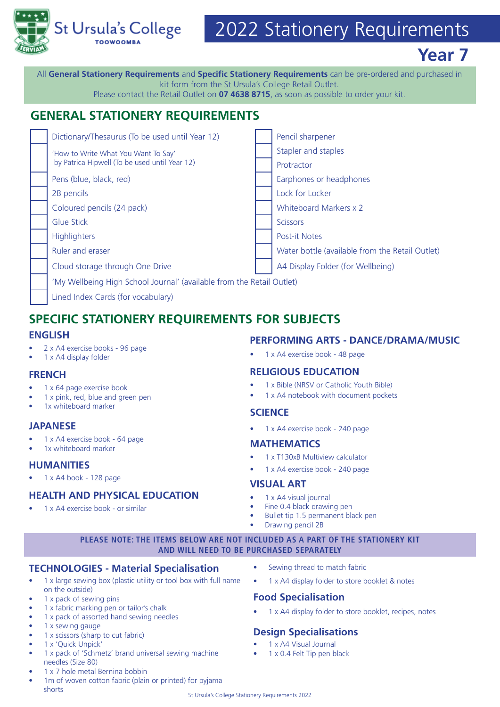

# 2022 Stationery Requirements

**Year 7**

All **General Stationery Requirements** and **Specific Stationery Requirements** can be pre-ordered and purchased in kit form from the St Ursula's College Retail Outlet.

### Please contact the Retail Outlet on **07 4638 8715**, as soon as possible to order your kit.

# **GENERAL STATIONERY REQUIREMENTS**

| Dictionary/Thesaurus (To be used until Year 12)                                      |  | Pencil sharpener                                |
|--------------------------------------------------------------------------------------|--|-------------------------------------------------|
| 'How to Write What You Want To Say'<br>by Patrica Hipwell (To be used until Year 12) |  | Stapler and staples                             |
|                                                                                      |  | Protractor                                      |
| Pens (blue, black, red)                                                              |  | Earphones or headphones                         |
| 2B pencils                                                                           |  | Lock for Locker                                 |
| Coloured pencils (24 pack)                                                           |  | Whiteboard Markers x 2                          |
| Glue Stick                                                                           |  | <b>Scissors</b>                                 |
| <b>Highlighters</b>                                                                  |  | <b>Post-it Notes</b>                            |
| Ruler and eraser                                                                     |  | Water bottle (available from the Retail Outlet) |
| Cloud storage through One Drive                                                      |  | A4 Display Folder (for Wellbeing)               |
| 'My Wellbeing High School Journal' (available from the Retail Outlet)                |  |                                                 |
|                                                                                      |  |                                                 |

| Lined Index Cards (for vocabulary)

# **SPECIFIC STATIONERY REQUIREMENTS FOR SUBJECTS**

#### **ENGLISH**

- 2 x A4 exercise books 96 page
- 1 x A4 display folder

#### **FRENCH**

- 1 x 64 page exercise book
- 1 x pink, red, blue and green pen
- 1x whiteboard marker

#### **JAPANESE**

- 1 x A4 exercise book 64 page
- 1x whiteboard marker

#### **HUMANITIES**

• 1 x A4 book - 128 page

#### **HEALTH AND PHYSICAL EDUCATION**

• 1 x A4 exercise book - or similar

- **PERFORMING ARTS DANCE/DRAMA/MUSIC**
- 1 x A4 exercise book 48 page

#### **RELIGIOUS EDUCATION**

- 1 x Bible (NRSV or Catholic Youth Bible)
- 1 x A4 notebook with document pockets

#### **SCIENCE**

• 1 x A4 exercise book - 240 page

#### **MATHEMATICS**

- 1 x T130xB Multiview calculator
- 1 x A4 exercise book 240 page

#### **VISUAL ART**

- 1 x A4 visual journal
- Fine 0.4 black drawing pen
- Bullet tip 1.5 permanent black pen
- Drawing pencil 2B

#### **PLEASE NOTE: THE ITEMS BELOW ARE NOT INCLUDED AS A PART OF THE STATIONERY KIT AND WILL NEED TO BE PURCHASED SEPARATELY**

#### **TECHNOLOGIES - Material Specialisation**

- 1 x large sewing box (plastic utility or tool box with full name on the outside)
- 1 x pack of sewing pins
- 1 x fabric marking pen or tailor's chalk
- 1 x pack of assorted hand sewing needles
- 1 x sewing gauge
- 1 x scissors (sharp to cut fabric) • 1 x 'Quick Unpick'
- 1 x pack of 'Schmetz' brand universal sewing machine needles (Size 80)
- 1 x 7 hole metal Bernina bobbin
- 1m of woven cotton fabric (plain or printed) for pyjama shorts
- Sewing thread to match fabric
- 1 x A4 display folder to store booklet & notes

#### **Food Specialisation**

1 x A4 display folder to store booklet, recipes, notes

#### **Design Specialisations**

- 1 x A4 Visual Journal
- 1 x 0.4 Felt Tip pen black